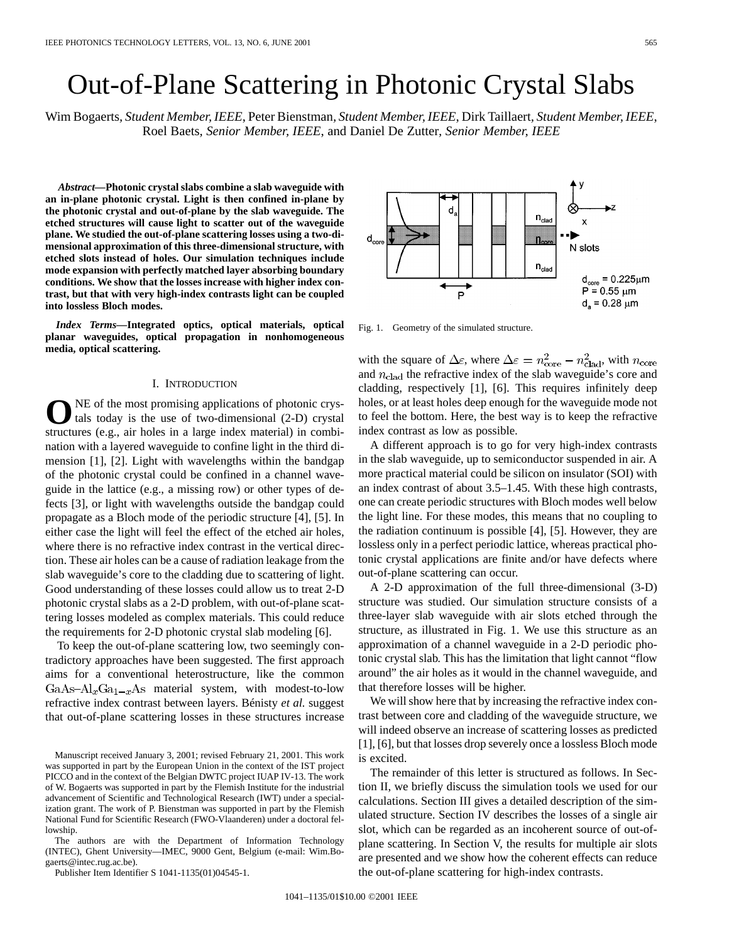# Out-of-Plane Scattering in Photonic Crystal Slabs

Wim Bogaerts*, Student Member, IEEE*, Peter Bienstman*, Student Member, IEEE*, Dirk Taillaert*, Student Member, IEEE*, Roel Baets*, Senior Member, IEEE*, and Daniel De Zutter*, Senior Member, IEEE*

*Abstract—***Photonic crystal slabs combine a slab waveguide with an in-plane photonic crystal. Light is then confined in-plane by the photonic crystal and out-of-plane by the slab waveguide. The etched structures will cause light to scatter out of the waveguide plane. We studied the out-of-plane scattering losses using a two-dimensional approximation of this three-dimensional structure, with etched slots instead of holes. Our simulation techniques include mode expansion with perfectly matched layer absorbing boundary conditions. We show that the losses increase with higher index contrast, but that with very high-index contrasts light can be coupled into lossless Bloch modes.**

*Index Terms—***Integrated optics, optical materials, optical planar waveguides, optical propagation in nonhomogeneous media, optical scattering.**

### I. INTRODUCTION

NE of the most promising applications of photonic crystals today is the use of two-dimensional (2-D) crystal structures (e.g., air holes in a large index material) in combination with a layered waveguide to confine light in the third dimension [1], [2]. Light with wavelengths within the bandgap of the photonic crystal could be confined in a channel waveguide in the lattice (e.g., a missing row) or other types of defects [3], or light with wavelengths outside the bandgap could propagate as a Bloch mode of the periodic structure [4], [5]. In either case the light will feel the effect of the etched air holes, where there is no refractive index contrast in the vertical direction. These air holes can be a cause of radiation leakage from the slab waveguide's core to the cladding due to scattering of light. Good understanding of these losses could allow us to treat 2-D photonic crystal slabs as a 2-D problem, with out-of-plane scattering losses modeled as complex materials. This could reduce the requirements for 2-D photonic crystal slab modeling [6].

To keep the out-of-plane scattering low, two seemingly contradictory approaches have been suggested. The first approach aims for a conventional heterostructure, like the common  $GaAs-Al<sub>x</sub>Ga<sub>1-x</sub>As material system, with modest-to-low$ refractive index contrast between layers. Bénisty *et al.* suggest that out-of-plane scattering losses in these structures increase

The authors are with the Department of Information Technology (INTEC), Ghent University—IMEC, 9000 Gent, Belgium (e-mail: Wim.Bogaerts@intec.rug.ac.be).

Publisher Item Identifier S 1041-1135(01)04545-1.

d  $n_{\text{cla}}$ B N slots  $n_{c1}$  $d_{\rm core} = 0.225 \mu m$  $P = 0.55 \mu m$ P  $d_a = 0.28 \mu m$ 

Fig. 1. Geometry of the simulated structure.

with the square of  $\Delta \varepsilon$ , where  $\Delta \varepsilon = n_{\text{core}}^2 - n_{\text{clad}}^2$ , with  $n_{\text{core}}$ and  $n_{\text{clad}}$  the refractive index of the slab waveguide's core and cladding, respectively [1], [6]. This requires infinitely deep holes, or at least holes deep enough for the waveguide mode not to feel the bottom. Here, the best way is to keep the refractive index contrast as low as possible.

A different approach is to go for very high-index contrasts in the slab waveguide, up to semiconductor suspended in air. A more practical material could be silicon on insulator (SOI) with an index contrast of about 3.5–1.45. With these high contrasts, one can create periodic structures with Bloch modes well below the light line. For these modes, this means that no coupling to the radiation continuum is possible [4], [5]. However, they are lossless only in a perfect periodic lattice, whereas practical photonic crystal applications are finite and/or have defects where out-of-plane scattering can occur.

A 2-D approximation of the full three-dimensional (3-D) structure was studied. Our simulation structure consists of a three-layer slab waveguide with air slots etched through the structure, as illustrated in Fig. 1. We use this structure as an approximation of a channel waveguide in a 2-D periodic photonic crystal slab. This has the limitation that light cannot "flow around" the air holes as it would in the channel waveguide, and that therefore losses will be higher.

We will show here that by increasing the refractive index contrast between core and cladding of the waveguide structure, we will indeed observe an increase of scattering losses as predicted [1], [6], but that losses drop severely once a lossless Bloch mode is excited.

The remainder of this letter is structured as follows. In Section II, we briefly discuss the simulation tools we used for our calculations. Section III gives a detailed description of the simulated structure. Section IV describes the losses of a single air slot, which can be regarded as an incoherent source of out-ofplane scattering. In Section V, the results for multiple air slots are presented and we show how the coherent effects can reduce the out-of-plane scattering for high-index contrasts.



Manuscript received January 3, 2001; revised February 21, 2001. This work was supported in part by the European Union in the context of the IST project PICCO and in the context of the Belgian DWTC project IUAP IV-13. The work of W. Bogaerts was supported in part by the Flemish Institute for the industrial advancement of Scientific and Technological Research (IWT) under a specialization grant. The work of P. Bienstman was supported in part by the Flemish National Fund for Scientific Research (FWO-Vlaanderen) under a doctoral fellowship.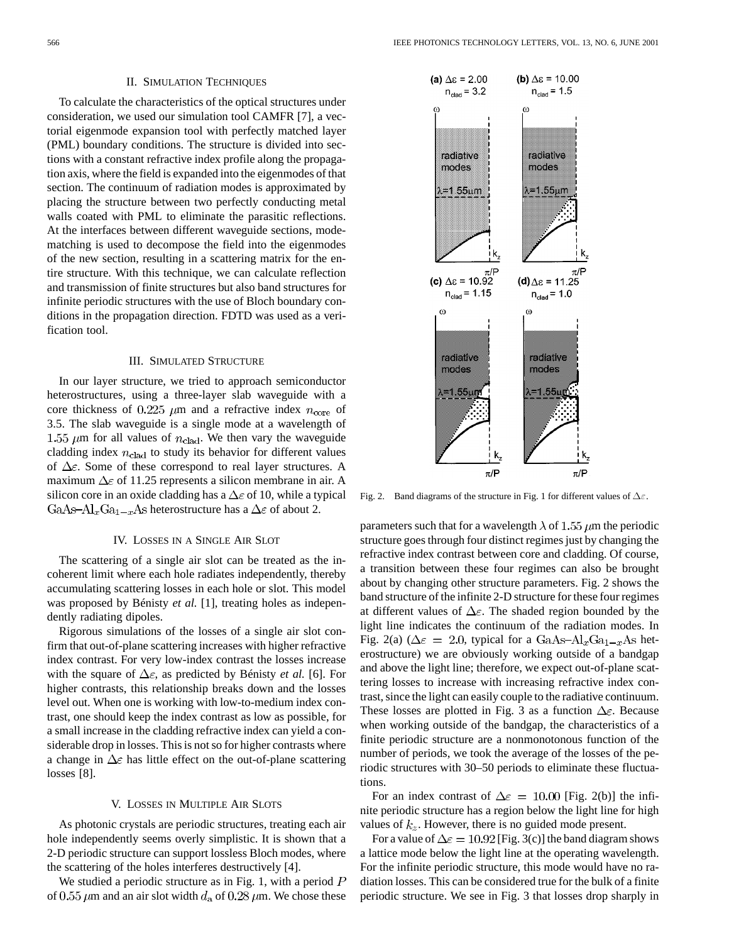#### II. SIMULATION TECHNIQUES

To calculate the characteristics of the optical structures under consideration, we used our simulation tool CAMFR [7], a vectorial eigenmode expansion tool with perfectly matched layer (PML) boundary conditions. The structure is divided into sections with a constant refractive index profile along the propagation axis, where the field is expanded into the eigenmodes of that section. The continuum of radiation modes is approximated by placing the structure between two perfectly conducting metal walls coated with PML to eliminate the parasitic reflections. At the interfaces between different waveguide sections, modematching is used to decompose the field into the eigenmodes of the new section, resulting in a scattering matrix for the entire structure. With this technique, we can calculate reflection and transmission of finite structures but also band structures for infinite periodic structures with the use of Bloch boundary conditions in the propagation direction. FDTD was used as a verification tool.

## III. SIMULATED STRUCTURE

In our layer structure, we tried to approach semiconductor heterostructures, using a three-layer slab waveguide with a core thickness of 0.225  $\mu$ m and a refractive index  $n_{\rm core}$  of 3.5. The slab waveguide is a single mode at a wavelength of 1.55  $\mu$ m for all values of  $n_{\text{clad}}$ . We then vary the waveguide cladding index  $n_{\text{clad}}$  to study its behavior for different values of  $\Delta \varepsilon$ . Some of these correspond to real layer structures. A maximum  $\Delta \varepsilon$  of 11.25 represents a silicon membrane in air. A silicon core in an oxide cladding has a  $\Delta \varepsilon$  of 10, while a typical GaAs-Al<sub>x</sub>Ga<sub>1-x</sub>As heterostructure has a  $\Delta \varepsilon$  of about 2.

#### IV. LOSSES IN A SINGLE AIR SLOT

The scattering of a single air slot can be treated as the incoherent limit where each hole radiates independently, thereby accumulating scattering losses in each hole or slot. This model was proposed by Bénisty *et al.* [1], treating holes as independently radiating dipoles.

Rigorous simulations of the losses of a single air slot confirm that out-of-plane scattering increases with higher refractive index contrast. For very low-index contrast the losses increase with the square of  $\Delta \varepsilon$ , as predicted by Bénisty *et al.* [6]. For higher contrasts, this relationship breaks down and the losses level out. When one is working with low-to-medium index contrast, one should keep the index contrast as low as possible, for a small increase in the cladding refractive index can yield a considerable drop in losses. This is not so for higher contrasts where a change in  $\Delta \varepsilon$  has little effect on the out-of-plane scattering losses [8].

# V. LOSSES IN MULTIPLE AIR SLOTS

As photonic crystals are periodic structures, treating each air hole independently seems overly simplistic. It is shown that a 2-D periodic structure can support lossless Bloch modes, where the scattering of the holes interferes destructively [4].

We studied a periodic structure as in Fig. 1, with a period  $P$ of 0.55  $\mu$ m and an air slot width  $d_a$  of 0.28  $\mu$ m. We chose these



Fig. 2. Band diagrams of the structure in Fig. 1 for different values of  $\Delta \varepsilon$ .

parameters such that for a wavelength  $\lambda$  of 1.55  $\mu$ m the periodic structure goes through four distinct regimes just by changing the refractive index contrast between core and cladding. Of course, a transition between these four regimes can also be brought about by changing other structure parameters. Fig. 2 shows the band structure of the infinite 2-D structure for these four regimes at different values of  $\Delta \varepsilon$ . The shaded region bounded by the light line indicates the continuum of the radiation modes. In Fig. 2(a) ( $\Delta \epsilon = 2.0$ , typical for a GaAs- $\text{Al}_x\text{Ga}_{1-x}$ As heterostructure) we are obviously working outside of a bandgap and above the light line; therefore, we expect out-of-plane scattering losses to increase with increasing refractive index contrast, since the light can easily couple to the radiative continuum. These losses are plotted in Fig. 3 as a function  $\Delta \varepsilon$ . Because when working outside of the bandgap, the characteristics of a finite periodic structure are a nonmonotonous function of the number of periods, we took the average of the losses of the periodic structures with 30–50 periods to eliminate these fluctuations.

For an index contrast of  $\Delta \epsilon = 10.00$  [Fig. 2(b)] the infinite periodic structure has a region below the light line for high values of  $k_z$ . However, there is no guided mode present.

For a value of  $\Delta \epsilon = 10.92$  [Fig. 3(c)] the band diagram shows a lattice mode below the light line at the operating wavelength. For the infinite periodic structure, this mode would have no radiation losses. This can be considered true for the bulk of a finite periodic structure. We see in Fig. 3 that losses drop sharply in